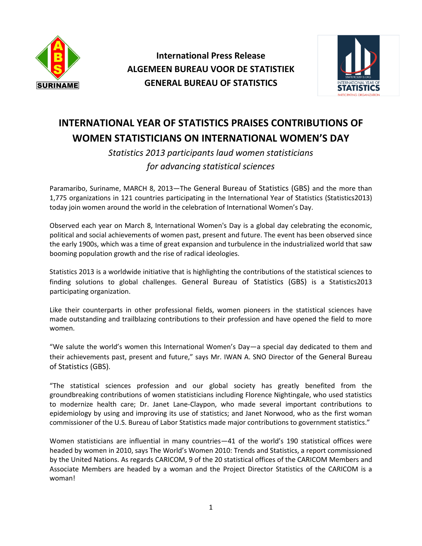

**International Press Release ALGEMEEN BUREAU VOOR DE STATISTIEK GENERAL BUREAU OF STATISTICS**



## **INTERNATIONAL YEAR OF STATISTICS PRAISES CONTRIBUTIONS OF WOMEN STATISTICIANS ON INTERNATIONAL WOMEN'S DAY**

*Statistics 2013 participants laud women statisticians for advancing statistical sciences*

Paramaribo, Suriname, MARCH 8, 2013—The General Bureau of Statistics (GBS) and the more than 1,775 organizations in 121 countries participating in the International Year of Statistics (Statistics2013) today join women around the world in the celebration of International Women's Day.

Observed each year on March 8, [International Women's Day](http://www.internationalwomensday.com/) is a global day celebrating the economic, political and social achievements of women past, present and future. The event has been observed since the early 1900s, which was a time of great expansion and turbulence in the industrialized world that saw booming population growth and the rise of radical ideologies.

[Statistics](http://www.statistics2013.org/) 2013 is a worldwide initiative that is highlighting the contributions of the statistical sciences to finding solutions to global challenges. General Bureau of Statistics (GBS) is a Statistics2013 participating organization.

Like their counterparts in other professional fields, women pioneers in the statistical sciences have made outstanding and trailblazing contributions to their profession and have opened the field to more women.

"We salute the world's women this International Women's Day—a special day dedicated to them and their achievements past, present and future," says Mr. IWAN A. SNO Director of the General Bureau of Statistics (GBS).

"The statistical sciences profession and our global society has greatly benefited from the groundbreaking contributions of women statisticians including Florence Nightingale, who used statistics to modernize health care; Dr. Janet Lane-Claypon, who made several important contributions to epidemiology by using and improving its use of statistics; and Janet Norwood, who as the first woman commissioner of the U.S. Bureau of Labor Statistics made major contributions to government statistics."

Women statisticians are influential in many countries—41 of the world's 190 statistical offices were headed by women in 2010, says The World's Women 2010: Trends and Statistics, a report commissioned by the United Nations. As regards CARICOM, 9 of the 20 statistical offices of the CARICOM Members and Associate Members are headed by a woman and the Project Director Statistics of the CARICOM is a woman!